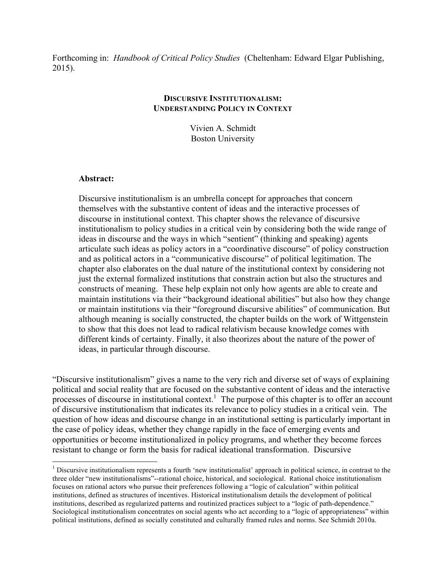Forthcoming in: *Handbook of Critical Policy Studies* (Cheltenham: Edward Elgar Publishing, 2015).

# **DISCURSIVE INSTITUTIONALISM: UNDERSTANDING POLICY IN CONTEXT**

Vivien A. Schmidt Boston University

#### **Abstract:**

i<br>L

Discursive institutionalism is an umbrella concept for approaches that concern themselves with the substantive content of ideas and the interactive processes of discourse in institutional context. This chapter shows the relevance of discursive institutionalism to policy studies in a critical vein by considering both the wide range of ideas in discourse and the ways in which "sentient" (thinking and speaking) agents articulate such ideas as policy actors in a "coordinative discourse" of policy construction and as political actors in a "communicative discourse" of political legitimation. The chapter also elaborates on the dual nature of the institutional context by considering not just the external formalized institutions that constrain action but also the structures and constructs of meaning. These help explain not only how agents are able to create and maintain institutions via their "background ideational abilities" but also how they change or maintain institutions via their "foreground discursive abilities" of communication. But although meaning is socially constructed, the chapter builds on the work of Wittgenstein to show that this does not lead to radical relativism because knowledge comes with different kinds of certainty. Finally, it also theorizes about the nature of the power of ideas, in particular through discourse.

"Discursive institutionalism" gives a name to the very rich and diverse set of ways of explaining political and social reality that are focused on the substantive content of ideas and the interactive processes of discourse in institutional context.<sup>1</sup> The purpose of this chapter is to offer an account of discursive institutionalism that indicates its relevance to policy studies in a critical vein. The question of how ideas and discourse change in an institutional setting is particularly important in the case of policy ideas, whether they change rapidly in the face of emerging events and opportunities or become institutionalized in policy programs, and whether they become forces resistant to change or form the basis for radical ideational transformation. Discursive

<sup>&</sup>lt;sup>1</sup> Discursive institutionalism represents a fourth 'new institutionalist' approach in political science, in contrast to the three older "new institutionalisms"--rational choice, historical, and sociological. Rational choice institutionalism focuses on rational actors who pursue their preferences following a "logic of calculation" within political institutions, defined as structures of incentives. Historical institutionalism details the development of political institutions, described as regularized patterns and routinized practices subject to a "logic of path-dependence." Sociological institutionalism concentrates on social agents who act according to a "logic of appropriateness" within political institutions, defined as socially constituted and culturally framed rules and norms. See Schmidt 2010a.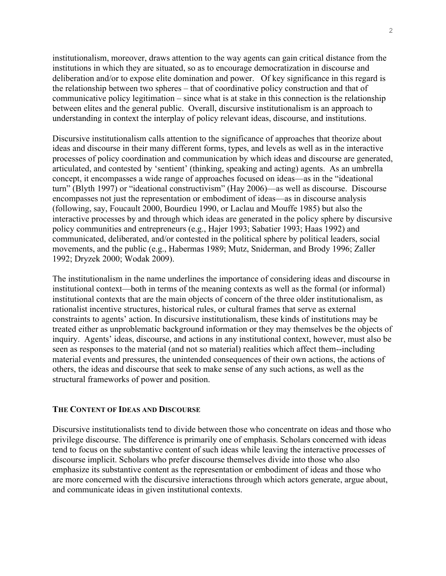institutionalism, moreover, draws attention to the way agents can gain critical distance from the institutions in which they are situated, so as to encourage democratization in discourse and deliberation and/or to expose elite domination and power. Of key significance in this regard is the relationship between two spheres – that of coordinative policy construction and that of communicative policy legitimation – since what is at stake in this connection is the relationship between elites and the general public. Overall, discursive institutionalism is an approach to understanding in context the interplay of policy relevant ideas, discourse, and institutions.

Discursive institutionalism calls attention to the significance of approaches that theorize about ideas and discourse in their many different forms, types, and levels as well as in the interactive processes of policy coordination and communication by which ideas and discourse are generated, articulated, and contested by 'sentient' (thinking, speaking and acting) agents. As an umbrella concept, it encompasses a wide range of approaches focused on ideas—as in the "ideational turn" (Blyth 1997) or "ideational constructivism" (Hay 2006)—as well as discourse. Discourse encompasses not just the representation or embodiment of ideas—as in discourse analysis (following, say, Foucault 2000, Bourdieu 1990, or Laclau and Mouffe 1985) but also the interactive processes by and through which ideas are generated in the policy sphere by discursive policy communities and entrepreneurs (e.g., Hajer 1993; Sabatier 1993; Haas 1992) and communicated, deliberated, and/or contested in the political sphere by political leaders, social movements, and the public (e.g., Habermas 1989; Mutz, Sniderman, and Brody 1996; Zaller 1992; Dryzek 2000; Wodak 2009).

The institutionalism in the name underlines the importance of considering ideas and discourse in institutional context—both in terms of the meaning contexts as well as the formal (or informal) institutional contexts that are the main objects of concern of the three older institutionalism, as rationalist incentive structures, historical rules, or cultural frames that serve as external constraints to agents' action. In discursive institutionalism, these kinds of institutions may be treated either as unproblematic background information or they may themselves be the objects of inquiry. Agents' ideas, discourse, and actions in any institutional context, however, must also be seen as responses to the material (and not so material) realities which affect them--including material events and pressures, the unintended consequences of their own actions, the actions of others, the ideas and discourse that seek to make sense of any such actions, as well as the structural frameworks of power and position.

## **THE CONTENT OF IDEAS AND DISCOURSE**

Discursive institutionalists tend to divide between those who concentrate on ideas and those who privilege discourse. The difference is primarily one of emphasis. Scholars concerned with ideas tend to focus on the substantive content of such ideas while leaving the interactive processes of discourse implicit. Scholars who prefer discourse themselves divide into those who also emphasize its substantive content as the representation or embodiment of ideas and those who are more concerned with the discursive interactions through which actors generate, argue about, and communicate ideas in given institutional contexts.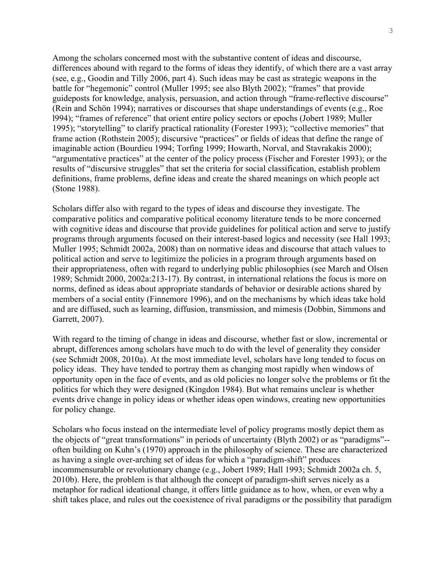Among the scholars concerned most with the substantive content of ideas and discourse, differences abound with regard to the forms of ideas they identify, of which there are a vast array (see, e.g., Goodin and Tilly 2006, part 4). Such ideas may be cast as strategic weapons in the battle for "hegemonic" control (Muller 1995; see also Blyth 2002); "frames" that provide guideposts for knowledge, analysis, persuasion, and action through "frame-reflective discourse" (Rein and Schön 1994); narratives or discourses that shape understandings of events (e.g., Roe l994); "frames of reference" that orient entire policy sectors or epochs (Jobert 1989; Muller 1995); "storytelling" to clarify practical rationality (Forester 1993); "collective memories" that frame action (Rothstein 2005); discursive "practices" or fields of ideas that define the range of imaginable action (Bourdieu 1994; Torfing 1999; Howarth, Norval, and Stavrakakis 2000); "argumentative practices" at the center of the policy process (Fischer and Forester 1993); or the results of "discursive struggles" that set the criteria for social classification, establish problem definitions, frame problems, define ideas and create the shared meanings on which people act (Stone 1988).

Scholars differ also with regard to the types of ideas and discourse they investigate. The comparative politics and comparative political economy literature tends to be more concerned with cognitive ideas and discourse that provide guidelines for political action and serve to justify programs through arguments focused on their interest-based logics and necessity (see Hall 1993; Muller 1995; Schmidt 2002a, 2008) than on normative ideas and discourse that attach values to political action and serve to legitimize the policies in a program through arguments based on their appropriateness, often with regard to underlying public philosophies (see March and Olsen 1989; Schmidt 2000, 2002a:213-17). By contrast, in international relations the focus is more on norms, defined as ideas about appropriate standards of behavior or desirable actions shared by members of a social entity (Finnemore 1996), and on the mechanisms by which ideas take hold and are diffused, such as learning, diffusion, transmission, and mimesis (Dobbin, Simmons and Garrett, 2007).

With regard to the timing of change in ideas and discourse, whether fast or slow, incremental or abrupt, differences among scholars have much to do with the level of generality they consider (see Schmidt 2008, 2010a). At the most immediate level, scholars have long tended to focus on policy ideas. They have tended to portray them as changing most rapidly when windows of opportunity open in the face of events, and as old policies no longer solve the problems or fit the politics for which they were designed (Kingdon 1984). But what remains unclear is whether events drive change in policy ideas or whether ideas open windows, creating new opportunities for policy change.

Scholars who focus instead on the intermediate level of policy programs mostly depict them as the objects of "great transformations" in periods of uncertainty (Blyth 2002) or as "paradigms"- often building on Kuhn's (1970) approach in the philosophy of science. These are characterized as having a single over-arching set of ideas for which a "paradigm-shift" produces incommensurable or revolutionary change (e.g., Jobert 1989; Hall 1993; Schmidt 2002a ch. 5, 2010b). Here, the problem is that although the concept of paradigm-shift serves nicely as a metaphor for radical ideational change, it offers little guidance as to how, when, or even why a shift takes place, and rules out the coexistence of rival paradigms or the possibility that paradigm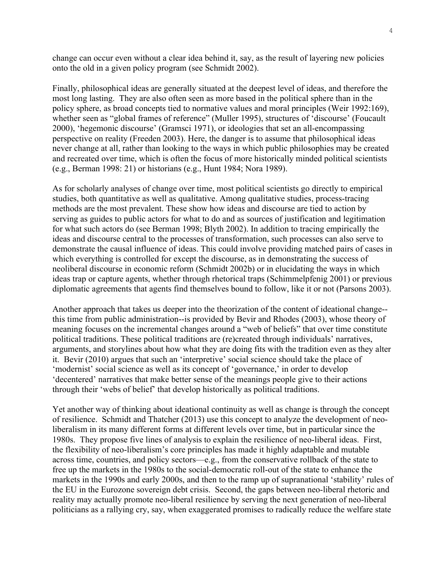change can occur even without a clear idea behind it, say, as the result of layering new policies onto the old in a given policy program (see Schmidt 2002).

Finally, philosophical ideas are generally situated at the deepest level of ideas, and therefore the most long lasting. They are also often seen as more based in the political sphere than in the policy sphere, as broad concepts tied to normative values and moral principles (Weir 1992:169), whether seen as "global frames of reference" (Muller 1995), structures of 'discourse' (Foucault 2000), 'hegemonic discourse' (Gramsci 1971), or ideologies that set an all-encompassing perspective on reality (Freeden 2003). Here, the danger is to assume that philosophical ideas never change at all, rather than looking to the ways in which public philosophies may be created and recreated over time, which is often the focus of more historically minded political scientists (e.g., Berman 1998: 21) or historians (e.g., Hunt 1984; Nora 1989).

As for scholarly analyses of change over time, most political scientists go directly to empirical studies, both quantitative as well as qualitative. Among qualitative studies, process-tracing methods are the most prevalent. These show how ideas and discourse are tied to action by serving as guides to public actors for what to do and as sources of justification and legitimation for what such actors do (see Berman 1998; Blyth 2002). In addition to tracing empirically the ideas and discourse central to the processes of transformation, such processes can also serve to demonstrate the causal influence of ideas. This could involve providing matched pairs of cases in which everything is controlled for except the discourse, as in demonstrating the success of neoliberal discourse in economic reform (Schmidt 2002b) or in elucidating the ways in which ideas trap or capture agents, whether through rhetorical traps (Schimmelpfenig 2001) or previous diplomatic agreements that agents find themselves bound to follow, like it or not (Parsons 2003).

Another approach that takes us deeper into the theorization of the content of ideational change- this time from public administration--is provided by Bevir and Rhodes (2003), whose theory of meaning focuses on the incremental changes around a "web of beliefs" that over time constitute political traditions. These political traditions are (re)created through individuals' narratives, arguments, and storylines about how what they are doing fits with the tradition even as they alter it. Bevir (2010) argues that such an 'interpretive' social science should take the place of 'modernist' social science as well as its concept of 'governance,' in order to develop 'decentered' narratives that make better sense of the meanings people give to their actions through their 'webs of belief' that develop historically as political traditions.

Yet another way of thinking about ideational continuity as well as change is through the concept of resilience. Schmidt and Thatcher (2013) use this concept to analyze the development of neoliberalism in its many different forms at different levels over time, but in particular since the 1980s. They propose five lines of analysis to explain the resilience of neo-liberal ideas. First, the flexibility of neo-liberalism's core principles has made it highly adaptable and mutable across time, countries, and policy sectors—e.g., from the conservative rollback of the state to free up the markets in the 1980s to the social-democratic roll-out of the state to enhance the markets in the 1990s and early 2000s, and then to the ramp up of supranational 'stability' rules of the EU in the Eurozone sovereign debt crisis. Second, the gaps between neo-liberal rhetoric and reality may actually promote neo-liberal resilience by serving the next generation of neo-liberal politicians as a rallying cry, say, when exaggerated promises to radically reduce the welfare state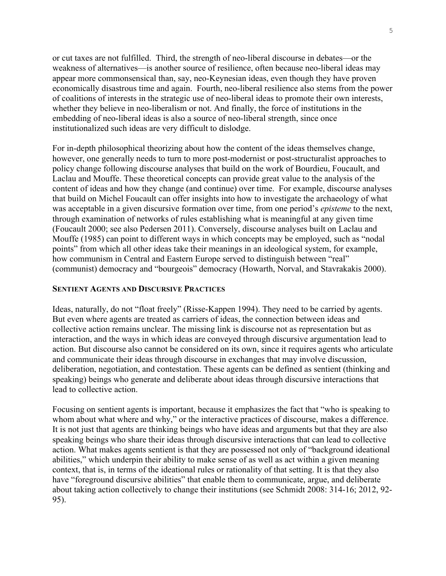or cut taxes are not fulfilled. Third, the strength of neo-liberal discourse in debates—or the weakness of alternatives—is another source of resilience, often because neo-liberal ideas may appear more commonsensical than, say, neo-Keynesian ideas, even though they have proven economically disastrous time and again. Fourth, neo-liberal resilience also stems from the power of coalitions of interests in the strategic use of neo-liberal ideas to promote their own interests, whether they believe in neo-liberalism or not. And finally, the force of institutions in the embedding of neo-liberal ideas is also a source of neo-liberal strength, since once institutionalized such ideas are very difficult to dislodge.

For in-depth philosophical theorizing about how the content of the ideas themselves change, however, one generally needs to turn to more post-modernist or post-structuralist approaches to policy change following discourse analyses that build on the work of Bourdieu, Foucault, and Laclau and Mouffe. These theoretical concepts can provide great value to the analysis of the content of ideas and how they change (and continue) over time. For example, discourse analyses that build on Michel Foucault can offer insights into how to investigate the archaeology of what was acceptable in a given discursive formation over time, from one period's *episteme* to the next, through examination of networks of rules establishing what is meaningful at any given time (Foucault 2000; see also Pedersen 2011). Conversely, discourse analyses built on Laclau and Mouffe (1985) can point to different ways in which concepts may be employed, such as "nodal points" from which all other ideas take their meanings in an ideological system, for example, how communism in Central and Eastern Europe served to distinguish between "real" (communist) democracy and "bourgeois" democracy (Howarth, Norval, and Stavrakakis 2000).

# **SENTIENT AGENTS AND DISCURSIVE PRACTICES**

Ideas, naturally, do not "float freely" (Risse-Kappen 1994). They need to be carried by agents. But even where agents are treated as carriers of ideas, the connection between ideas and collective action remains unclear. The missing link is discourse not as representation but as interaction, and the ways in which ideas are conveyed through discursive argumentation lead to action. But discourse also cannot be considered on its own, since it requires agents who articulate and communicate their ideas through discourse in exchanges that may involve discussion, deliberation, negotiation, and contestation. These agents can be defined as sentient (thinking and speaking) beings who generate and deliberate about ideas through discursive interactions that lead to collective action.

Focusing on sentient agents is important, because it emphasizes the fact that "who is speaking to whom about what where and why," or the interactive practices of discourse, makes a difference. It is not just that agents are thinking beings who have ideas and arguments but that they are also speaking beings who share their ideas through discursive interactions that can lead to collective action. What makes agents sentient is that they are possessed not only of "background ideational abilities," which underpin their ability to make sense of as well as act within a given meaning context, that is, in terms of the ideational rules or rationality of that setting. It is that they also have "foreground discursive abilities" that enable them to communicate, argue, and deliberate about taking action collectively to change their institutions (see Schmidt 2008: 314-16; 2012, 92- 95).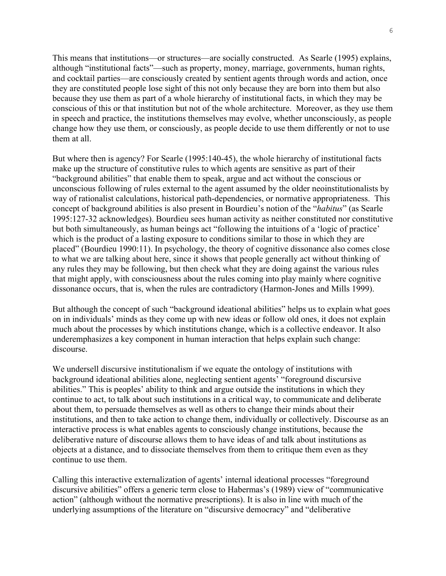This means that institutions—or structures—are socially constructed. As Searle (1995) explains, although "institutional facts"—such as property, money, marriage, governments, human rights, and cocktail parties—are consciously created by sentient agents through words and action, once they are constituted people lose sight of this not only because they are born into them but also because they use them as part of a whole hierarchy of institutional facts, in which they may be conscious of this or that institution but not of the whole architecture. Moreover, as they use them in speech and practice, the institutions themselves may evolve, whether unconsciously, as people change how they use them, or consciously, as people decide to use them differently or not to use them at all.

But where then is agency? For Searle (1995:140-45), the whole hierarchy of institutional facts make up the structure of constitutive rules to which agents are sensitive as part of their "background abilities" that enable them to speak, argue and act without the conscious or unconscious following of rules external to the agent assumed by the older neoinstitutionalists by way of rationalist calculations, historical path-dependencies, or normative appropriateness. This concept of background abilities is also present in Bourdieu's notion of the "*habitus*" (as Searle 1995:127-32 acknowledges). Bourdieu sees human activity as neither constituted nor constitutive but both simultaneously, as human beings act "following the intuitions of a 'logic of practice' which is the product of a lasting exposure to conditions similar to those in which they are placed" (Bourdieu 1990:11). In psychology, the theory of cognitive dissonance also comes close to what we are talking about here, since it shows that people generally act without thinking of any rules they may be following, but then check what they are doing against the various rules that might apply, with consciousness about the rules coming into play mainly where cognitive dissonance occurs, that is, when the rules are contradictory (Harmon-Jones and Mills 1999).

But although the concept of such "background ideational abilities" helps us to explain what goes on in individuals' minds as they come up with new ideas or follow old ones, it does not explain much about the processes by which institutions change, which is a collective endeavor. It also underemphasizes a key component in human interaction that helps explain such change: discourse.

We undersell discursive institutionalism if we equate the ontology of institutions with background ideational abilities alone, neglecting sentient agents' "foreground discursive abilities." This is peoples' ability to think and argue outside the institutions in which they continue to act, to talk about such institutions in a critical way, to communicate and deliberate about them, to persuade themselves as well as others to change their minds about their institutions, and then to take action to change them, individually or collectively. Discourse as an interactive process is what enables agents to consciously change institutions, because the deliberative nature of discourse allows them to have ideas of and talk about institutions as objects at a distance, and to dissociate themselves from them to critique them even as they continue to use them.

Calling this interactive externalization of agents' internal ideational processes "foreground discursive abilities" offers a generic term close to Habermas's (1989) view of "communicative action" (although without the normative prescriptions). It is also in line with much of the underlying assumptions of the literature on "discursive democracy" and "deliberative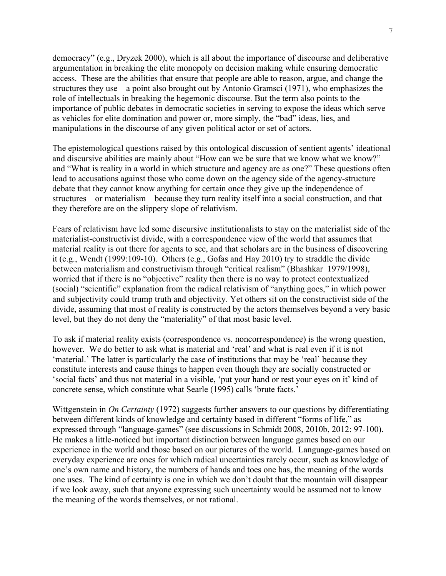democracy" (e.g., Dryzek 2000), which is all about the importance of discourse and deliberative argumentation in breaking the elite monopoly on decision making while ensuring democratic access. These are the abilities that ensure that people are able to reason, argue, and change the structures they use—a point also brought out by Antonio Gramsci (1971), who emphasizes the role of intellectuals in breaking the hegemonic discourse. But the term also points to the importance of public debates in democratic societies in serving to expose the ideas which serve as vehicles for elite domination and power or, more simply, the "bad" ideas, lies, and manipulations in the discourse of any given political actor or set of actors.

The epistemological questions raised by this ontological discussion of sentient agents' ideational and discursive abilities are mainly about "How can we be sure that we know what we know?" and "What is reality in a world in which structure and agency are as one?" These questions often lead to accusations against those who come down on the agency side of the agency-structure debate that they cannot know anything for certain once they give up the independence of structures—or materialism—because they turn reality itself into a social construction, and that they therefore are on the slippery slope of relativism.

Fears of relativism have led some discursive institutionalists to stay on the materialist side of the materialist-constructivist divide, with a correspondence view of the world that assumes that material reality is out there for agents to see, and that scholars are in the business of discovering it (e.g., Wendt (1999:109-10). Others (e.g., Gofas and Hay 2010) try to straddle the divide between materialism and constructivism through "critical realism" (Bhashkar 1979/1998), worried that if there is no "objective" reality then there is no way to protect contextualized (social) "scientific" explanation from the radical relativism of "anything goes," in which power and subjectivity could trump truth and objectivity. Yet others sit on the constructivist side of the divide, assuming that most of reality is constructed by the actors themselves beyond a very basic level, but they do not deny the "materiality" of that most basic level.

To ask if material reality exists (correspondence vs. noncorrespondence) is the wrong question, however. We do better to ask what is material and 'real' and what is real even if it is not 'material.' The latter is particularly the case of institutions that may be 'real' because they constitute interests and cause things to happen even though they are socially constructed or 'social facts' and thus not material in a visible, 'put your hand or rest your eyes on it' kind of concrete sense, which constitute what Searle (1995) calls 'brute facts.'

Wittgenstein in *On Certainty* (1972) suggests further answers to our questions by differentiating between different kinds of knowledge and certainty based in different "forms of life," as expressed through "language-games" (see discussions in Schmidt 2008, 2010b, 2012: 97-100). He makes a little-noticed but important distinction between language games based on our experience in the world and those based on our pictures of the world. Language-games based on everyday experience are ones for which radical uncertainties rarely occur, such as knowledge of one's own name and history, the numbers of hands and toes one has, the meaning of the words one uses. The kind of certainty is one in which we don't doubt that the mountain will disappear if we look away, such that anyone expressing such uncertainty would be assumed not to know the meaning of the words themselves, or not rational.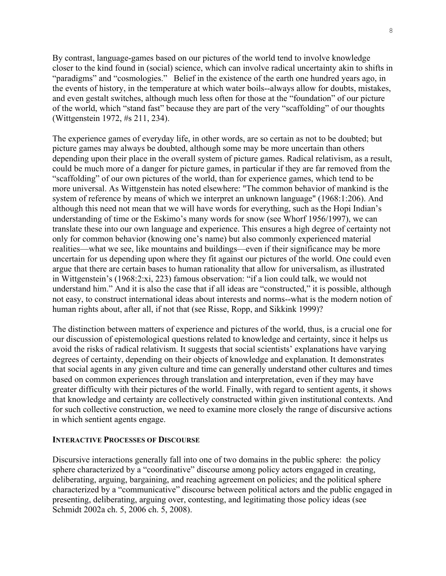By contrast, language-games based on our pictures of the world tend to involve knowledge closer to the kind found in (social) science, which can involve radical uncertainty akin to shifts in "paradigms" and "cosmologies." Belief in the existence of the earth one hundred years ago, in the events of history, in the temperature at which water boils--always allow for doubts, mistakes, and even gestalt switches, although much less often for those at the "foundation" of our picture of the world, which "stand fast" because they are part of the very "scaffolding" of our thoughts (Wittgenstein 1972, #s 211, 234).

The experience games of everyday life, in other words, are so certain as not to be doubted; but picture games may always be doubted, although some may be more uncertain than others depending upon their place in the overall system of picture games. Radical relativism, as a result, could be much more of a danger for picture games, in particular if they are far removed from the "scaffolding" of our own pictures of the world, than for experience games, which tend to be more universal. As Wittgenstein has noted elsewhere: "The common behavior of mankind is the system of reference by means of which we interpret an unknown language" (1968:1:206). And although this need not mean that we will have words for everything, such as the Hopi Indian's understanding of time or the Eskimo's many words for snow (see Whorf 1956/1997), we can translate these into our own language and experience. This ensures a high degree of certainty not only for common behavior (knowing one's name) but also commonly experienced material realities—what we see, like mountains and buildings—even if their significance may be more uncertain for us depending upon where they fit against our pictures of the world. One could even argue that there are certain bases to human rationality that allow for universalism, as illustrated in Wittgenstein's (1968:2:xi, 223) famous observation: "if a lion could talk, we would not understand him." And it is also the case that if all ideas are "constructed," it is possible, although not easy, to construct international ideas about interests and norms--what is the modern notion of human rights about, after all, if not that (see Risse, Ropp, and Sikkink 1999)?

The distinction between matters of experience and pictures of the world, thus, is a crucial one for our discussion of epistemological questions related to knowledge and certainty, since it helps us avoid the risks of radical relativism. It suggests that social scientists' explanations have varying degrees of certainty, depending on their objects of knowledge and explanation. It demonstrates that social agents in any given culture and time can generally understand other cultures and times based on common experiences through translation and interpretation, even if they may have greater difficulty with their pictures of the world. Finally, with regard to sentient agents, it shows that knowledge and certainty are collectively constructed within given institutional contexts. And for such collective construction, we need to examine more closely the range of discursive actions in which sentient agents engage.

## **INTERACTIVE PROCESSES OF DISCOURSE**

Discursive interactions generally fall into one of two domains in the public sphere: the policy sphere characterized by a "coordinative" discourse among policy actors engaged in creating, deliberating, arguing, bargaining, and reaching agreement on policies; and the political sphere characterized by a "communicative" discourse between political actors and the public engaged in presenting, deliberating, arguing over, contesting, and legitimating those policy ideas (see Schmidt 2002a ch. 5, 2006 ch. 5, 2008).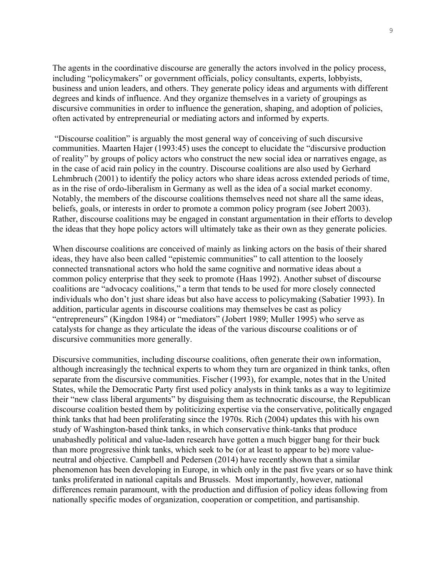The agents in the coordinative discourse are generally the actors involved in the policy process, including "policymakers" or government officials, policy consultants, experts, lobbyists, business and union leaders, and others. They generate policy ideas and arguments with different degrees and kinds of influence. And they organize themselves in a variety of groupings as discursive communities in order to influence the generation, shaping, and adoption of policies, often activated by entrepreneurial or mediating actors and informed by experts.

"Discourse coalition" is arguably the most general way of conceiving of such discursive communities. Maarten Hajer (1993:45) uses the concept to elucidate the "discursive production of reality" by groups of policy actors who construct the new social idea or narratives engage, as in the case of acid rain policy in the country. Discourse coalitions are also used by Gerhard Lehmbruch (2001) to identify the policy actors who share ideas across extended periods of time, as in the rise of ordo-liberalism in Germany as well as the idea of a social market economy. Notably, the members of the discourse coalitions themselves need not share all the same ideas, beliefs, goals, or interests in order to promote a common policy program (see Jobert 2003). Rather, discourse coalitions may be engaged in constant argumentation in their efforts to develop the ideas that they hope policy actors will ultimately take as their own as they generate policies.

When discourse coalitions are conceived of mainly as linking actors on the basis of their shared ideas, they have also been called "epistemic communities" to call attention to the loosely connected transnational actors who hold the same cognitive and normative ideas about a common policy enterprise that they seek to promote (Haas 1992). Another subset of discourse coalitions are "advocacy coalitions," a term that tends to be used for more closely connected individuals who don't just share ideas but also have access to policymaking (Sabatier 1993). In addition, particular agents in discourse coalitions may themselves be cast as policy "entrepreneurs" (Kingdon 1984) or "mediators" (Jobert 1989; Muller 1995) who serve as catalysts for change as they articulate the ideas of the various discourse coalitions or of discursive communities more generally.

Discursive communities, including discourse coalitions, often generate their own information, although increasingly the technical experts to whom they turn are organized in think tanks, often separate from the discursive communities. Fischer (1993), for example, notes that in the United States, while the Democratic Party first used policy analysts in think tanks as a way to legitimize their "new class liberal arguments" by disguising them as technocratic discourse, the Republican discourse coalition bested them by politicizing expertise via the conservative, politically engaged think tanks that had been proliferating since the 1970s. Rich (2004) updates this with his own study of Washington-based think tanks, in which conservative think-tanks that produce unabashedly political and value-laden research have gotten a much bigger bang for their buck than more progressive think tanks, which seek to be (or at least to appear to be) more valueneutral and objective. Campbell and Pedersen (2014) have recently shown that a similar phenomenon has been developing in Europe, in which only in the past five years or so have think tanks proliferated in national capitals and Brussels. Most importantly, however, national differences remain paramount, with the production and diffusion of policy ideas following from nationally specific modes of organization, cooperation or competition, and partisanship.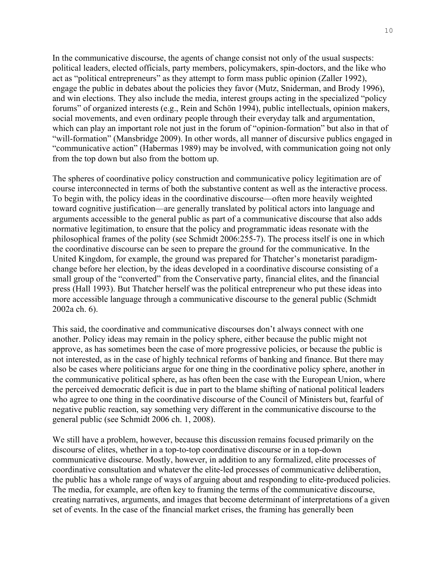In the communicative discourse, the agents of change consist not only of the usual suspects: political leaders, elected officials, party members, policymakers, spin-doctors, and the like who act as "political entrepreneurs" as they attempt to form mass public opinion (Zaller 1992), engage the public in debates about the policies they favor (Mutz, Sniderman, and Brody 1996), and win elections. They also include the media, interest groups acting in the specialized "policy forums" of organized interests (e.g., Rein and Schön 1994), public intellectuals, opinion makers, social movements, and even ordinary people through their everyday talk and argumentation, which can play an important role not just in the forum of "opinion-formation" but also in that of "will-formation" (Mansbridge 2009). In other words, all manner of discursive publics engaged in "communicative action" (Habermas 1989) may be involved, with communication going not only from the top down but also from the bottom up.

The spheres of coordinative policy construction and communicative policy legitimation are of course interconnected in terms of both the substantive content as well as the interactive process. To begin with, the policy ideas in the coordinative discourse—often more heavily weighted toward cognitive justification—are generally translated by political actors into language and arguments accessible to the general public as part of a communicative discourse that also adds normative legitimation, to ensure that the policy and programmatic ideas resonate with the philosophical frames of the polity (see Schmidt 2006:255-7). The process itself is one in which the coordinative discourse can be seen to prepare the ground for the communicative. In the United Kingdom, for example, the ground was prepared for Thatcher's monetarist paradigmchange before her election, by the ideas developed in a coordinative discourse consisting of a small group of the "converted" from the Conservative party, financial elites, and the financial press (Hall 1993). But Thatcher herself was the political entrepreneur who put these ideas into more accessible language through a communicative discourse to the general public (Schmidt 2002a ch. 6).

This said, the coordinative and communicative discourses don't always connect with one another. Policy ideas may remain in the policy sphere, either because the public might not approve, as has sometimes been the case of more progressive policies, or because the public is not interested, as in the case of highly technical reforms of banking and finance. But there may also be cases where politicians argue for one thing in the coordinative policy sphere, another in the communicative political sphere, as has often been the case with the European Union, where the perceived democratic deficit is due in part to the blame shifting of national political leaders who agree to one thing in the coordinative discourse of the Council of Ministers but, fearful of negative public reaction, say something very different in the communicative discourse to the general public (see Schmidt 2006 ch. 1, 2008).

We still have a problem, however, because this discussion remains focused primarily on the discourse of elites, whether in a top-to-top coordinative discourse or in a top-down communicative discourse. Mostly, however, in addition to any formalized, elite processes of coordinative consultation and whatever the elite-led processes of communicative deliberation, the public has a whole range of ways of arguing about and responding to elite-produced policies. The media, for example, are often key to framing the terms of the communicative discourse, creating narratives, arguments, and images that become determinant of interpretations of a given set of events. In the case of the financial market crises, the framing has generally been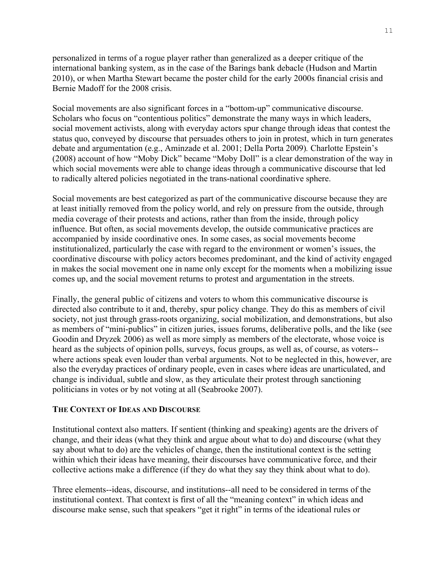personalized in terms of a rogue player rather than generalized as a deeper critique of the international banking system, as in the case of the Barings bank debacle (Hudson and Martin 2010), or when Martha Stewart became the poster child for the early 2000s financial crisis and Bernie Madoff for the 2008 crisis.

Social movements are also significant forces in a "bottom-up" communicative discourse. Scholars who focus on "contentious politics" demonstrate the many ways in which leaders, social movement activists, along with everyday actors spur change through ideas that contest the status quo, conveyed by discourse that persuades others to join in protest, which in turn generates debate and argumentation (e.g., Aminzade et al. 2001; Della Porta 2009)*.* Charlotte Epstein's (2008) account of how "Moby Dick" became "Moby Doll" is a clear demonstration of the way in which social movements were able to change ideas through a communicative discourse that led to radically altered policies negotiated in the trans-national coordinative sphere.

Social movements are best categorized as part of the communicative discourse because they are at least initially removed from the policy world, and rely on pressure from the outside, through media coverage of their protests and actions, rather than from the inside, through policy influence. But often, as social movements develop, the outside communicative practices are accompanied by inside coordinative ones. In some cases, as social movements become institutionalized, particularly the case with regard to the environment or women's issues, the coordinative discourse with policy actors becomes predominant, and the kind of activity engaged in makes the social movement one in name only except for the moments when a mobilizing issue comes up, and the social movement returns to protest and argumentation in the streets.

Finally, the general public of citizens and voters to whom this communicative discourse is directed also contribute to it and, thereby, spur policy change. They do this as members of civil society, not just through grass-roots organizing, social mobilization, and demonstrations, but also as members of "mini-publics" in citizen juries, issues forums, deliberative polls, and the like (see Goodin and Dryzek 2006) as well as more simply as members of the electorate, whose voice is heard as the subjects of opinion polls, surveys, focus groups, as well as, of course, as voters- where actions speak even louder than verbal arguments. Not to be neglected in this, however, are also the everyday practices of ordinary people, even in cases where ideas are unarticulated, and change is individual, subtle and slow, as they articulate their protest through sanctioning politicians in votes or by not voting at all (Seabrooke 2007).

### **THE CONTEXT OF IDEAS AND DISCOURSE**

Institutional context also matters. If sentient (thinking and speaking) agents are the drivers of change, and their ideas (what they think and argue about what to do) and discourse (what they say about what to do) are the vehicles of change, then the institutional context is the setting within which their ideas have meaning, their discourses have communicative force, and their collective actions make a difference (if they do what they say they think about what to do).

Three elements--ideas, discourse, and institutions--all need to be considered in terms of the institutional context. That context is first of all the "meaning context" in which ideas and discourse make sense, such that speakers "get it right" in terms of the ideational rules or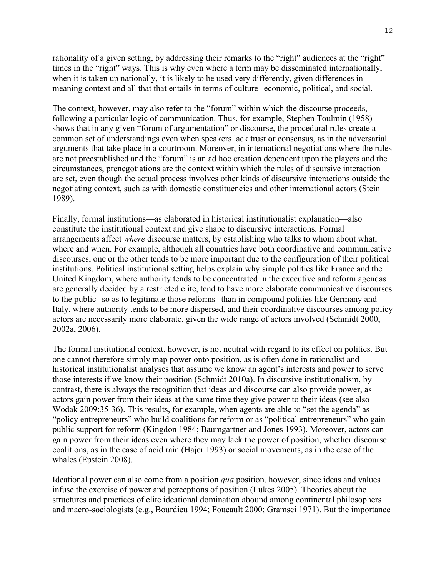rationality of a given setting, by addressing their remarks to the "right" audiences at the "right" times in the "right" ways. This is why even where a term may be disseminated internationally, when it is taken up nationally, it is likely to be used very differently, given differences in meaning context and all that that entails in terms of culture--economic, political, and social.

The context, however, may also refer to the "forum" within which the discourse proceeds, following a particular logic of communication. Thus, for example, Stephen Toulmin (1958) shows that in any given "forum of argumentation" or discourse, the procedural rules create a common set of understandings even when speakers lack trust or consensus, as in the adversarial arguments that take place in a courtroom. Moreover, in international negotiations where the rules are not preestablished and the "forum" is an ad hoc creation dependent upon the players and the circumstances, prenegotiations are the context within which the rules of discursive interaction are set, even though the actual process involves other kinds of discursive interactions outside the negotiating context, such as with domestic constituencies and other international actors (Stein 1989).

Finally, formal institutions—as elaborated in historical institutionalist explanation—also constitute the institutional context and give shape to discursive interactions. Formal arrangements affect *where* discourse matters, by establishing who talks to whom about what, where and when. For example, although all countries have both coordinative and communicative discourses, one or the other tends to be more important due to the configuration of their political institutions. Political institutional setting helps explain why simple polities like France and the United Kingdom, where authority tends to be concentrated in the executive and reform agendas are generally decided by a restricted elite, tend to have more elaborate communicative discourses to the public--so as to legitimate those reforms--than in compound polities like Germany and Italy, where authority tends to be more dispersed, and their coordinative discourses among policy actors are necessarily more elaborate, given the wide range of actors involved (Schmidt 2000, 2002a, 2006).

The formal institutional context, however, is not neutral with regard to its effect on politics. But one cannot therefore simply map power onto position, as is often done in rationalist and historical institutionalist analyses that assume we know an agent's interests and power to serve those interests if we know their position (Schmidt 2010a). In discursive institutionalism, by contrast, there is always the recognition that ideas and discourse can also provide power, as actors gain power from their ideas at the same time they give power to their ideas (see also Wodak 2009:35-36). This results, for example, when agents are able to "set the agenda" as "policy entrepreneurs" who build coalitions for reform or as "political entrepreneurs" who gain public support for reform (Kingdon 1984; Baumgartner and Jones 1993). Moreover, actors can gain power from their ideas even where they may lack the power of position, whether discourse coalitions, as in the case of acid rain (Hajer 1993) or social movements, as in the case of the whales (Epstein 2008).

Ideational power can also come from a position *qua* position, however, since ideas and values infuse the exercise of power and perceptions of position (Lukes 2005). Theories about the structures and practices of elite ideational domination abound among continental philosophers and macro-sociologists (e.g., Bourdieu 1994; Foucault 2000; Gramsci 1971). But the importance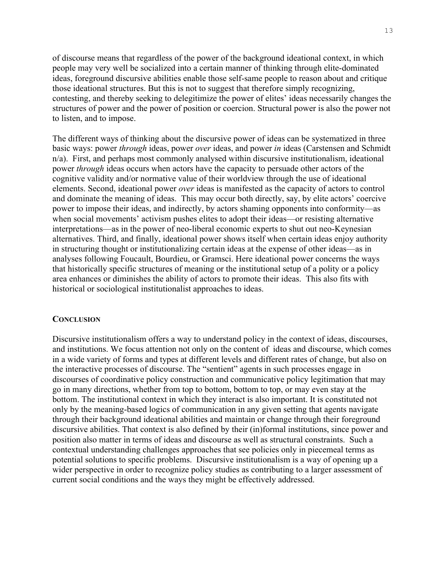of discourse means that regardless of the power of the background ideational context, in which people may very well be socialized into a certain manner of thinking through elite-dominated ideas, foreground discursive abilities enable those self-same people to reason about and critique those ideational structures. But this is not to suggest that therefore simply recognizing, contesting, and thereby seeking to delegitimize the power of elites' ideas necessarily changes the structures of power and the power of position or coercion. Structural power is also the power not to listen, and to impose.

The different ways of thinking about the discursive power of ideas can be systematized in three basic ways: power *through* ideas, power *over* ideas, and power *in* ideas (Carstensen and Schmidt n/a). First, and perhaps most commonly analysed within discursive institutionalism, ideational power *through* ideas occurs when actors have the capacity to persuade other actors of the cognitive validity and/or normative value of their worldview through the use of ideational elements. Second, ideational power *over* ideas is manifested as the capacity of actors to control and dominate the meaning of ideas. This may occur both directly, say, by elite actors' coercive power to impose their ideas, and indirectly, by actors shaming opponents into conformity—as when social movements' activism pushes elites to adopt their ideas—or resisting alternative interpretations—as in the power of neo-liberal economic experts to shut out neo-Keynesian alternatives. Third, and finally, ideational power shows itself when certain ideas enjoy authority in structuring thought or institutionalizing certain ideas at the expense of other ideas—as in analyses following Foucault, Bourdieu, or Gramsci. Here ideational power concerns the ways that historically specific structures of meaning or the institutional setup of a polity or a policy area enhances or diminishes the ability of actors to promote their ideas. This also fits with historical or sociological institutionalist approaches to ideas.

#### **CONCLUSION**

Discursive institutionalism offers a way to understand policy in the context of ideas, discourses, and institutions. We focus attention not only on the content of ideas and discourse, which comes in a wide variety of forms and types at different levels and different rates of change, but also on the interactive processes of discourse. The "sentient" agents in such processes engage in discourses of coordinative policy construction and communicative policy legitimation that may go in many directions, whether from top to bottom, bottom to top, or may even stay at the bottom. The institutional context in which they interact is also important. It is constituted not only by the meaning-based logics of communication in any given setting that agents navigate through their background ideational abilities and maintain or change through their foreground discursive abilities. That context is also defined by their (in)formal institutions, since power and position also matter in terms of ideas and discourse as well as structural constraints. Such a contextual understanding challenges approaches that see policies only in piecemeal terms as potential solutions to specific problems. Discursive institutionalism is a way of opening up a wider perspective in order to recognize policy studies as contributing to a larger assessment of current social conditions and the ways they might be effectively addressed.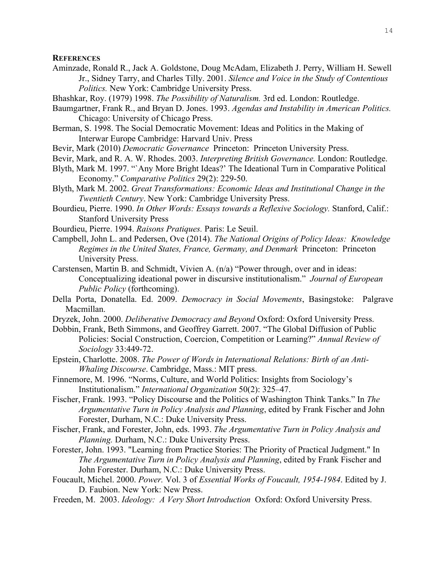#### **REFERENCES**

- Aminzade, Ronald R., Jack A. Goldstone, Doug McAdam, Elizabeth J. Perry, William H. Sewell Jr., Sidney Tarry, and Charles Tilly. 2001. *Silence and Voice in the Study of Contentious Politics.* New York: Cambridge University Press.
- Bhashkar, Roy. (1979) 1998. *The Possibility of Naturalism.* 3rd ed. London: Routledge.
- Baumgartner, Frank R., and Bryan D. Jones. 1993. *Agendas and Instability in American Politics.* Chicago: University of Chicago Press.
- Berman, S. 1998. The Social Democratic Movement: Ideas and Politics in the Making of Interwar Europe Cambridge: Harvard Univ. Press
- Bevir, Mark (2010) *Democratic Governance* Princeton: Princeton University Press.
- Bevir, Mark, and R. A. W. Rhodes. 2003. *Interpreting British Governance.* London: Routledge.
- Blyth, Mark M. 1997. "`Any More Bright Ideas?' The Ideational Turn in Comparative Political Economy." *Comparative Politics* 29(2): 229-50.
- Blyth, Mark M. 2002. *Great Transformations: Economic Ideas and Institutional Change in the Twentieth Century*. New York: Cambridge University Press.
- Bourdieu, Pierre. 1990. *In Other Words: Essays towards a Reflexive Sociology.* Stanford, Calif.: Stanford University Press
- Bourdieu, Pierre. 1994. *Raisons Pratiques.* Paris: Le Seuil.
- Campbell, John L. and Pedersen, Ove (2014). *The National Origins of Policy Ideas: Knowledge Regimes in the United States, France, Germany, and Denmark* Princeton: Princeton University Press.
- Carstensen, Martin B. and Schmidt, Vivien A. (n/a) "Power through, over and in ideas: Conceptualizing ideational power in discursive institutionalism." *Journal of European Public Policy* (forthcoming).
- Della Porta, Donatella. Ed. 2009. *Democracy in Social Movements*, Basingstoke: Palgrave Macmillan.
- Dryzek, John. 2000. *Deliberative Democracy and Beyond* Oxford: Oxford University Press.
- Dobbin, Frank, Beth Simmons, and Geoffrey Garrett. 2007. "The Global Diffusion of Public Policies: Social Construction, Coercion, Competition or Learning?" *Annual Review of Sociology* 33:449-72.
- Epstein, Charlotte. 2008. *The Power of Words in International Relations: Birth of an Anti-Whaling Discourse*. Cambridge, Mass.: MIT press.
- Finnemore, M. 1996. "Norms, Culture, and World Politics: Insights from Sociology's Institutionalism." *International Organization* 50(2): 325–47.
- Fischer, Frank. 1993. "Policy Discourse and the Politics of Washington Think Tanks." In *The Argumentative Turn in Policy Analysis and Planning*, edited by Frank Fischer and John Forester, Durham, N.C.: Duke University Press.
- Fischer, Frank, and Forester, John, eds. 1993. *The Argumentative Turn in Policy Analysis and Planning.* Durham, N.C.: Duke University Press.
- Forester, John. 1993. "Learning from Practice Stories: The Priority of Practical Judgment." In *The Argumentative Turn in Policy Analysis and Planning*, edited by Frank Fischer and John Forester. Durham, N.C.: Duke University Press.
- Foucault, Michel. 2000. *Power.* Vol. 3 of *Essential Works of Foucault, 1954-1984*. Edited by J. D. Faubion. New York: New Press.
- Freeden, M. 2003. *Ideology: A Very Short Introduction* Oxford: Oxford University Press.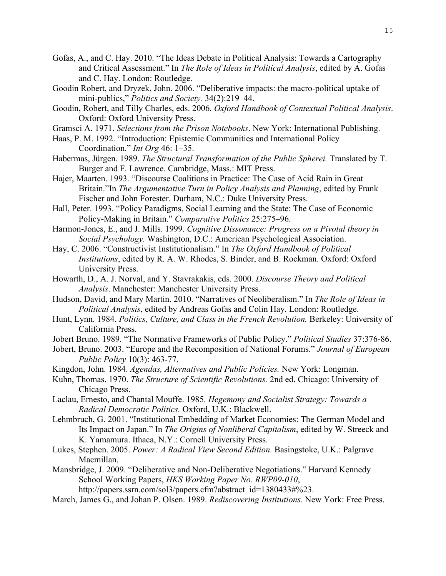- Gofas, A., and C. Hay. 2010. "The Ideas Debate in Political Analysis: Towards a Cartography and Critical Assessment." In *The Role of Ideas in Political Analysis*, edited by A. Gofas and C. Hay. London: Routledge.
- Goodin Robert, and Dryzek, John. 2006. "Deliberative impacts: the macro-political uptake of mini-publics," *Politics and Society.* 34(2):219–44.
- Goodin, Robert, and Tilly Charles, eds. 2006. *Oxford Handbook of Contextual Political Analysis*. Oxford: Oxford University Press.
- Gramsci A. 1971. *Selections from the Prison Notebooks*. New York: International Publishing.
- Haas, P. M. 1992. "Introduction: Epistemic Communities and International Policy Coordination." *Int Org* 46: 1–35.
- Habermas, Jürgen. 1989. *The Structural Transformation of the Public Spherei.* Translated by T. Burger and F. Lawrence. Cambridge, Mass.: MIT Press.
- Hajer, Maarten. 1993. "Discourse Coalitions in Practice: The Case of Acid Rain in Great Britain."In *The Argumentative Turn in Policy Analysis and Planning*, edited by Frank Fischer and John Forester. Durham, N.C.: Duke University Press.
- Hall, Peter. 1993. "Policy Paradigms, Social Learning and the State: The Case of Economic Policy-Making in Britain." *Comparative Politics* 25:275–96.
- Harmon-Jones, E., and J. Mills. 1999. *Cognitive Dissonance: Progress on a Pivotal theory in Social Psychology.* Washington, D.C.: American Psychological Association.
- Hay, C. 2006. "Constructivist Institutionalism." In *The Oxford Handbook of Political Institutions*, edited by R. A. W. Rhodes, S. Binder, and B. Rockman. Oxford: Oxford University Press.
- Howarth, D., A. J. Norval, and Y. Stavrakakis, eds. 2000. *Discourse Theory and Political Analysis*. Manchester: Manchester University Press.
- Hudson, David, and Mary Martin. 2010. "Narratives of Neoliberalism." In *The Role of Ideas in Political Analysis*, edited by Andreas Gofas and Colin Hay. London: Routledge.
- Hunt, Lynn. 1984. *Politics, Culture, and Class in the French Revolution.* Berkeley: University of California Press.
- Jobert Bruno. 1989. "The Normative Frameworks of Public Policy." *Political Studies* 37:376-86.
- Jobert, Bruno. 2003. "Europe and the Recomposition of National Forums." *Journal of European Public Policy* 10(3): 463-77.
- Kingdon, John. 1984. *Agendas, Alternatives and Public Policies.* New York: Longman.
- Kuhn, Thomas. 1970. *The Structure of Scientific Revolutions.* 2nd ed. Chicago: University of Chicago Press.
- Laclau, Ernesto, and Chantal Mouffe. 1985. *Hegemony and Socialist Strategy: Towards a Radical Democratic Politics.* Oxford, U.K.: Blackwell.
- Lehmbruch, G. 2001. "Institutional Embedding of Market Economies: The German Model and Its Impact on Japan." In *The Origins of Nonliberal Capitalism*, edited by W. Streeck and K. Yamamura. Ithaca, N.Y.: Cornell University Press.
- Lukes, Stephen. 2005. *Power: A Radical View Second Edition.* Basingstoke, U.K.: Palgrave Macmillan.
- Mansbridge, J. 2009. "Deliberative and Non-Deliberative Negotiations." Harvard Kennedy School Working Papers, *HKS Working Paper No. RWP09-010*,
	- http://papers.ssrn.com/sol3/papers.cfm?abstract\_id=1380433#%23.
- March, James G., and Johan P. Olsen. 1989. *Rediscovering Institutions*. New York: Free Press.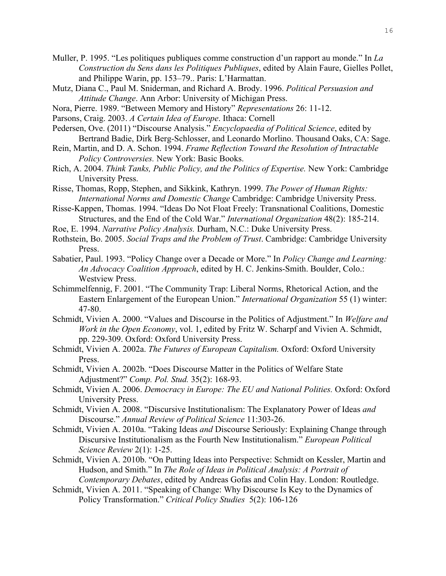- Muller, P. 1995. "Les politiques publiques comme construction d'un rapport au monde." In *La Construction du Sens dans les Politiques Publiques*, edited by Alain Faure, Gielles Pollet, and Philippe Warin, pp. 153–79.. Paris: L'Harmattan.
- Mutz, Diana C., Paul M. Sniderman, and Richard A. Brody. 1996. *Political Persuasion and Attitude Change*. Ann Arbor: University of Michigan Press.
- Nora, Pierre. 1989. "Between Memory and History" *Representations* 26: 11-12.
- Parsons, Craig. 2003. *A Certain Idea of Europe*. Ithaca: Cornell
- Pedersen, Ove. (2011) "Discourse Analysis." *Encyclopaedia of Political Science*, edited by Bertrand Badie, Dirk Berg-Schlosser, and Leonardo Morlino. Thousand Oaks, CA: Sage.
- Rein, Martin, and D. A. Schon. 1994. *Frame Reflection Toward the Resolution of Intractable Policy Controversies.* New York: Basic Books.
- Rich, A. 2004. *Think Tanks, Public Policy, and the Politics of Expertise.* New York: Cambridge University Press.
- Risse, Thomas, Ropp, Stephen, and Sikkink, Kathryn. 1999. *The Power of Human Rights: International Norms and Domestic Change* Cambridge: Cambridge University Press.
- Risse-Kappen, Thomas. 1994. "Ideas Do Not Float Freely: Transnational Coalitions, Domestic Structures, and the End of the Cold War." *International Organization* 48(2): 185-214.
- Roe, E. 1994. *Narrative Policy Analysis.* Durham, N.C.: Duke University Press.
- Rothstein, Bo. 2005. *Social Traps and the Problem of Trust*. Cambridge: Cambridge University Press.
- Sabatier, Paul. 1993. "Policy Change over a Decade or More." In *Policy Change and Learning: An Advocacy Coalition Approach*, edited by H. C. Jenkins-Smith. Boulder, Colo.: Westview Press.
- Schimmelfennig, F. 2001. "The Community Trap: Liberal Norms, Rhetorical Action, and the Eastern Enlargement of the European Union." *International Organization* 55 (1) winter: 47-80.
- Schmidt, Vivien A. 2000. "Values and Discourse in the Politics of Adjustment." In *Welfare and Work in the Open Economy*, vol. 1, edited by Fritz W. Scharpf and Vivien A. Schmidt, pp. 229-309. Oxford: Oxford University Press.
- Schmidt, Vivien A. 2002a. *The Futures of European Capitalism.* Oxford: Oxford University Press.
- Schmidt, Vivien A. 2002b. "Does Discourse Matter in the Politics of Welfare State Adjustment?" *Comp. Pol. Stud.* 35(2): 168-93.
- Schmidt, Vivien A. 2006. *Democracy in Europe: The EU and National Polities.* Oxford: Oxford University Press.
- Schmidt, Vivien A. 2008. "Discursive Institutionalism: The Explanatory Power of Ideas *and* Discourse." *Annual Review of Political Science* 11:303-26.
- Schmidt, Vivien A. 2010a. "Taking Ideas *and* Discourse Seriously: Explaining Change through Discursive Institutionalism as the Fourth New Institutionalism." *European Political Science Review* 2(1): 1-25.
- Schmidt, Vivien A. 2010b. "On Putting Ideas into Perspective: Schmidt on Kessler, Martin and Hudson, and Smith." In *The Role of Ideas in Political Analysis: A Portrait of Contemporary Debates*, edited by Andreas Gofas and Colin Hay. London: Routledge.
- Schmidt, Vivien A. 2011. "Speaking of Change: Why Discourse Is Key to the Dynamics of Policy Transformation." *Critical Policy Studies* 5(2): 106-126